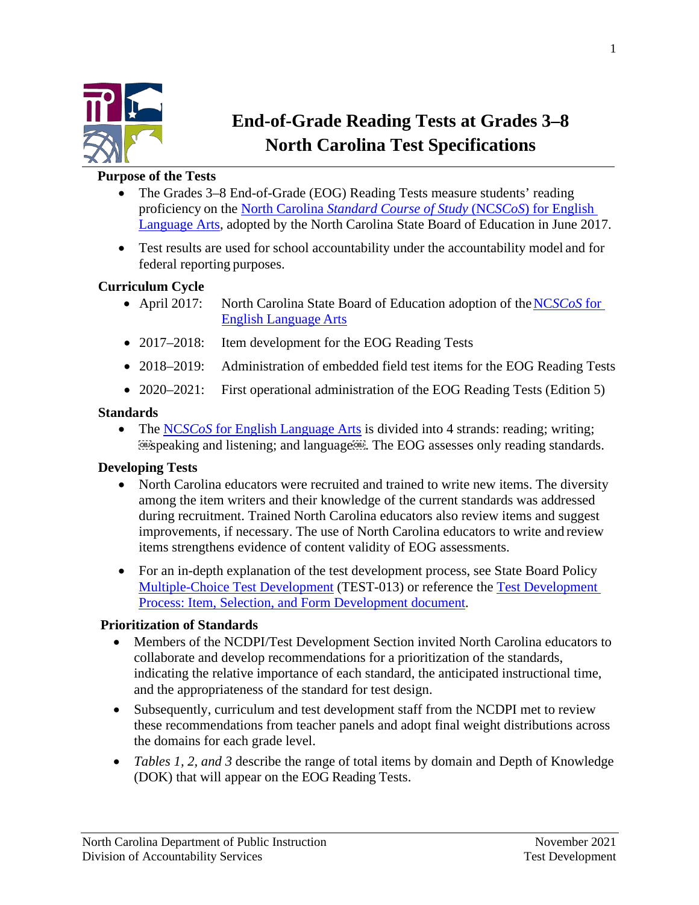

# **End-of-Grade Reading Tests at Grades 3–8 North Carolina Test Specifications**

#### **Purpose of the Tests**

- The Grades 3–8 End-of-Grade (EOG) Reading Tests measure students' reading proficiency on the North Carolina *[Standard Course of Study](https://www.dpi.nc.gov/districts-schools/classroom-resources/k-12-standards-curriculum-and-instruction/standard-course-study#english-language-arts)* (NC*SCoS*) for English [Language Arts,](https://www.dpi.nc.gov/districts-schools/classroom-resources/k-12-standards-curriculum-and-instruction/standard-course-study#english-language-arts) adopted by the North Carolina State Board of Education in June 2017.
- Test results are used for school accountability under the accountability model and for federal reporting purposes.

### **Curriculum Cycle**

- April 2017: North Carolina State Board of Education adoption of the NC*[SCoS](https://www.dpi.nc.gov/districts-schools/classroom-resources/k-12-standards-curriculum-and-instruction/standard-course-study#english-language-arts)* for [English Language](https://www.dpi.nc.gov/districts-schools/classroom-resources/k-12-standards-curriculum-and-instruction/standard-course-study#english-language-arts) Arts
- 2017–2018: Item development for the EOG Reading Tests
- 2018–2019: Administration of embedded field test items for the EOG Reading Tests
- 2020–2021: First operational administration of the EOG Reading Tests (Edition 5)

#### **Standards**

• The NC*SCoS* [for English Language Arts](https://www.dpi.nc.gov/districts-schools/classroom-resources/k-12-standards-curriculum-and-instruction/standard-course-study#english-language-arts) is divided into 4 strands: reading; writing; 599 speaking and listening; and language<sup>6699</sup>. The EOG assesses only reading standards.

#### **Developing Tests**

- North Carolina educators were recruited and trained to write new items. The diversity among the item writers and their knowledge of the current standards was addressed during recruitment. Trained North Carolina educators also review items and suggest improvements, if necessary. The use of North Carolina educators to write and review items strengthens evidence of content validity of EOG assessments.
- For an in-depth explanation of the test development process, see State Board Policy [Multiple-Choice Test Development](https://simbli.eboardsolutions.com/ePolicy/policy.aspx?PC=TEST-013&Sch=10399&S=10399&C=TEST&RevNo=1.02&T=A&Z=P&St=ADOPTED&PG=6&SN=true) (TEST-013) or reference the [Test Development](https://www.dpi.nc.gov/documents/accountability/testing/test-development-process-item-selection-and-form-development-end-of-grade-assessments-end-of-course-assessments-ncextend1-alternate-assessments-and-nc-final-exams)  [Process: Item, Selection, and Form Development document.](https://www.dpi.nc.gov/documents/accountability/testing/test-development-process-item-selection-and-form-development-end-of-grade-assessments-end-of-course-assessments-ncextend1-alternate-assessments-and-nc-final-exams)

#### **Prioritization of Standards**

- Members of the NCDPI/Test Development Section invited North Carolina educators to collaborate and develop recommendations for a prioritization of the standards, indicating the relative importance of each standard, the anticipated instructional time, and the appropriateness of the standard for test design.
- Subsequently, curriculum and test development staff from the NCDPI met to review these recommendations from teacher panels and adopt final weight distributions across the domains for each grade level.
- *Tables 1, 2, and 3* describe the range of total items by domain and Depth of Knowledge (DOK) that will appear on the EOG Reading Tests.

1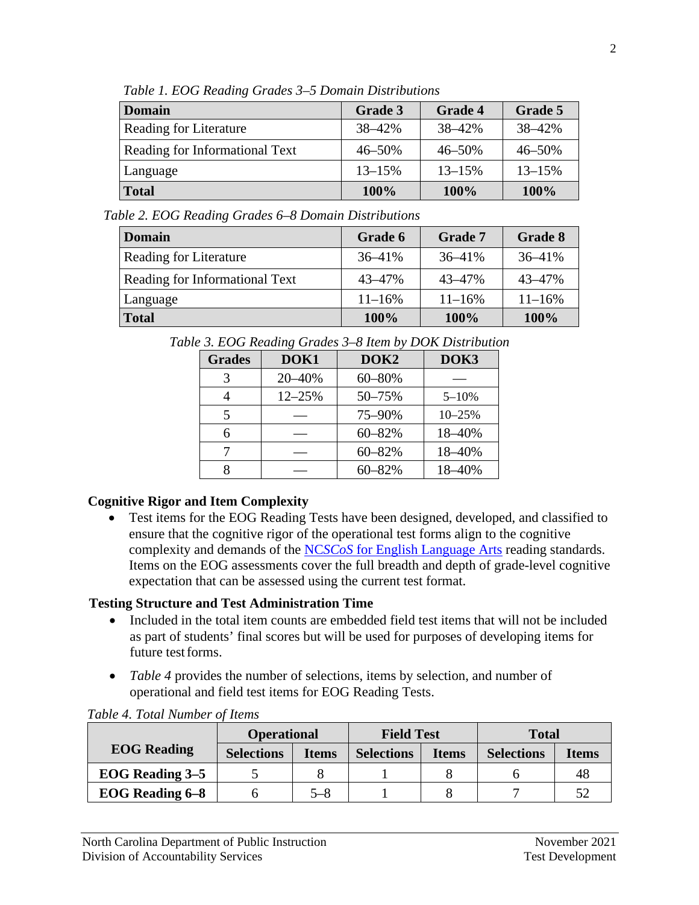| <b>Domain</b>                  | Grade 3    | <b>Grade 4</b> | Grade 5    |
|--------------------------------|------------|----------------|------------|
| Reading for Literature         | 38-42%     | 38-42%         | 38-42%     |
| Reading for Informational Text | 46-50%     | $46 - 50%$     | 46-50%     |
| Language                       | $13 - 15%$ | $13 - 15%$     | $13 - 15%$ |
| <b>Total</b>                   | 100%       | 100%           | 100%       |

*Table 1. EOG Reading Grades 3–5 Domain Distributions*

*Table 2. EOG Reading Grades 6–8 Domain Distributions*

| <b>Domain</b>                         | Grade 6     | <b>Grade 7</b> | Grade 8     |
|---------------------------------------|-------------|----------------|-------------|
| <b>Reading for Literature</b>         | $36 - 41\%$ | $36 - 41\%$    | $36 - 41\%$ |
| <b>Reading for Informational Text</b> | $43 - 47%$  | 43-47%         | 43-47%      |
| Language                              | $11 - 16%$  | $11 - 16\%$    | $11 - 16%$  |
| <b>Total</b>                          | 100%        | 100%           | 100%        |

*Table 3. EOG Reading Grades 3–8 Item by DOK Distribution*

| <b>Grades</b> | DOK1       | DOK <sub>2</sub> | DOK3       |  |
|---------------|------------|------------------|------------|--|
|               | 20-40%     | 60-80%           |            |  |
|               | $12 - 25%$ | 50-75%           | $5 - 10%$  |  |
|               |            | 75-90%           | $10 - 25%$ |  |
|               |            | $60 - 82%$       | 18-40%     |  |
|               |            | $60 - 82%$       | 18-40%     |  |
|               |            | $60 - 82\%$      | 18-40%     |  |

## **Cognitive Rigor and Item Complexity**

• Test items for the EOG Reading Tests have been designed, developed, and classified to ensure that the cognitive rigor of the operational test forms align to the cognitive complexity and demands of the NC*SCoS* [for English Language Arts](https://www.dpi.nc.gov/districts-schools/classroom-resources/k-12-standards-curriculum-and-instruction/standard-course-study#english-language-arts) reading standards. Items on the EOG assessments cover the full breadth and depth of grade-level cognitive expectation that can be assessed using the current test format.

# **Testing Structure and Test Administration Time**

- Included in the total item counts are embedded field test items that will not be included as part of students' final scores but will be used for purposes of developing items for future testforms.
- *Table 4* provides the number of selections, items by selection, and number of operational and field test items for EOG Reading Tests.

|                        | <b>Operational</b> |              | <b>Field Test</b> |              | <b>Total</b>      |              |
|------------------------|--------------------|--------------|-------------------|--------------|-------------------|--------------|
| <b>EOG</b> Reading     | <b>Selections</b>  | <b>Items</b> | <b>Selections</b> | <b>Items</b> | <b>Selections</b> | <b>Items</b> |
| <b>EOG Reading 3–5</b> |                    |              |                   |              |                   | 48           |
| <b>EOG</b> Reading 6-8 |                    | 5–8          |                   |              |                   |              |

## *Table 4. Total Number of Items*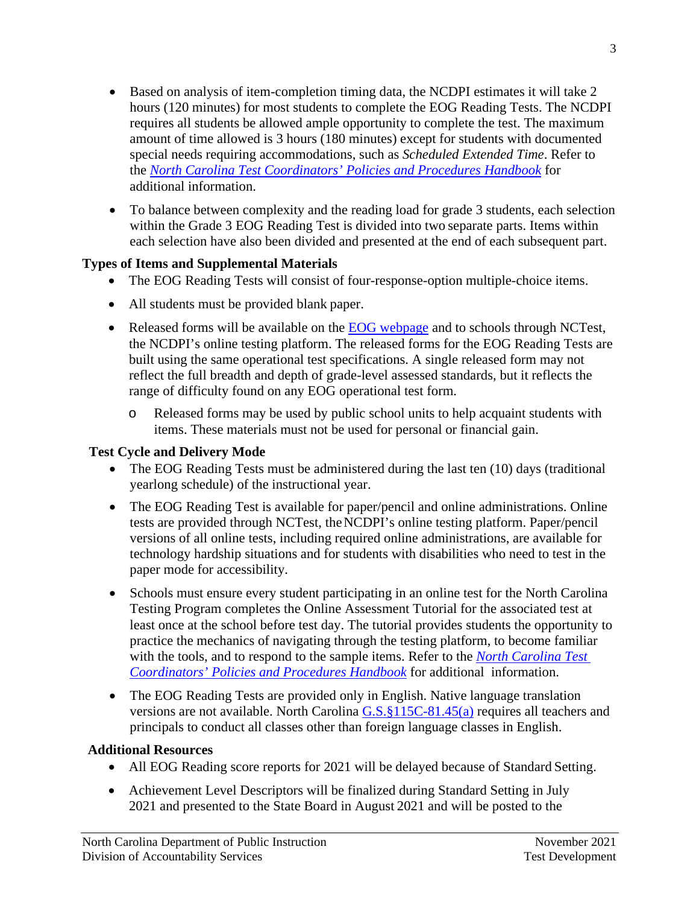- Based on analysis of item-completion timing data, the NCDPI estimates it will take 2 hours (120 minutes) for most students to complete the EOG Reading Tests. The NCDPI requires all students be allowed ample opportunity to complete the test. The maximum amount of time allowed is 3 hours (180 minutes) except for students with documented special needs requiring accommodations, such as *Scheduled Extended Time*. Refer to the *[North Carolina Test Coordinators' Policies and Procedures Handbook](https://www.dpi.nc.gov/documents/accountability/policyoperations/2018/2018-19-test-coordinators-policies-and-procedures-handbook)* for additional information.
- To balance between complexity and the reading load for grade 3 students, each selection within the Grade 3 EOG Reading Test is divided into two separate parts. Items within each selection have also been divided and presented at the end of each subsequent part.

# **Types of Items and Supplemental Materials**

- The EOG Reading Tests will consist of four-response-option multiple-choice items.
- All students must be provided blank paper.
- Released forms will be available on the [EOG webpage](https://www.dpi.nc.gov/districts-schools/testing-and-school-accountability/state-tests/end-grade-eog#released-forms) and to schools through NCTest, the NCDPI's online testing platform. The released forms for the EOG Reading Tests are built using the same operational test specifications. A single released form may not reflect the full breadth and depth of grade-level assessed standards, but it reflects the range of difficulty found on any EOG operational test form.
	- o Released forms may be used by public school units to help acquaint students with items. These materials must not be used for personal or financial gain.

# **Test Cycle and Delivery Mode**

- The EOG Reading Tests must be administered during the last ten (10) days (traditional yearlong schedule) of the instructional year.
- The EOG Reading Test is available for paper/pencil and online administrations. Online tests are provided through NCTest, theNCDPI's online testing platform. Paper/pencil versions of all online tests, including required online administrations, are available for technology hardship situations and for students with disabilities who need to test in the paper mode for accessibility.
- Schools must ensure every student participating in an online test for the North Carolina Testing Program completes the Online Assessment Tutorial for the associated test at least once at the school before test day. The tutorial provides students the opportunity to practice the mechanics of navigating through the testing platform, to become familiar with the tools, and to respond to the sample items. Refer to the *[North Carolina Test](https://www.dpi.nc.gov/documents/accountability/policyoperations/2018/2018-19-test-coordinators-policies-and-procedures-handbook)  [Coordinators' Policies and Procedures Handbook](https://www.dpi.nc.gov/documents/accountability/policyoperations/2018/2018-19-test-coordinators-policies-and-procedures-handbook)* for additional information.
- The EOG Reading Tests are provided only in English. Native language translation versions are not available. North Carolina [G.S.§115C-81.45\(a\)](https://www.ncleg.net/enactedlegislation/statutes/html/bychapter/chapter_115c.html) requires all teachers and principals to conduct all classes other than foreign language classes in English.

# **Additional Resources**

- All EOG Reading score reports for 2021 will be delayed because of Standard Setting.
- Achievement Level Descriptors will be finalized during Standard Setting in July 2021 and presented to the State Board in August 2021 and will be posted to the